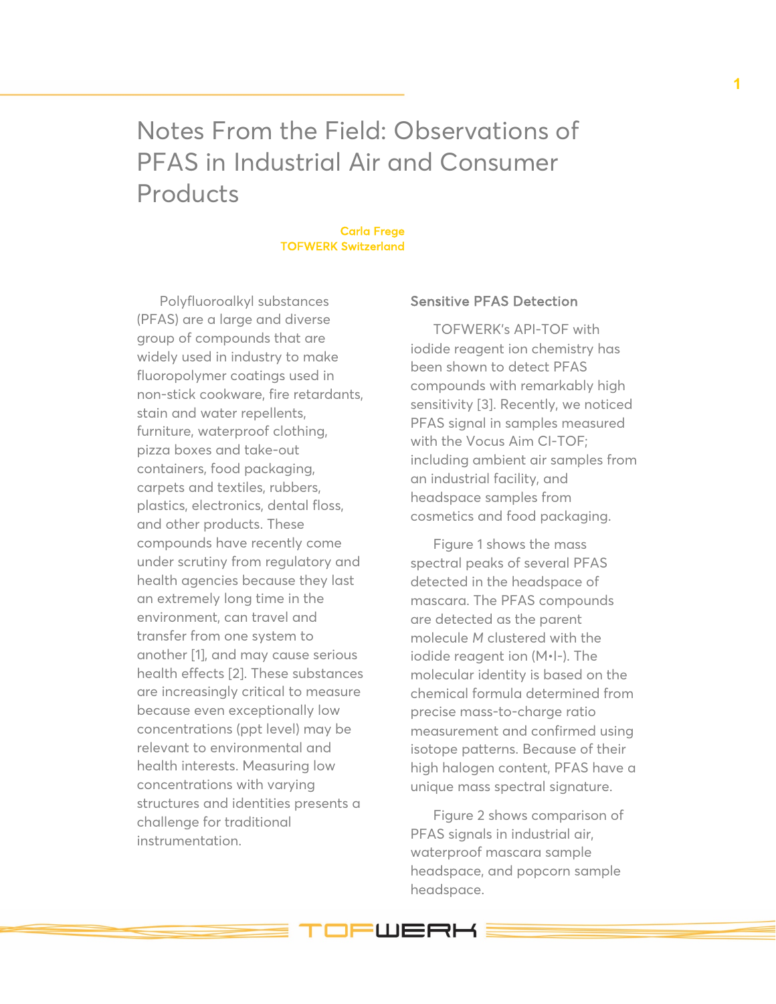Notes From the Field: Observations of PFAS in Industrial Air and Consumer Products

## Carla Frege TOFWERK Switzerland

Polyfluoroalkyl substances (PFAS) are a large and diverse group of compounds that are widely used in industry to make fluoropolymer coatings used in non-stick cookware, fire retardants, stain and water repellents, furniture, waterproof clothing, pizza boxes and take-out containers, food packaging, carpets and textiles, rubbers, plastics, electronics, dental floss, and other products. These compounds have recently come under scrutiny from regulatory and health agencies because they last an extremely long time in the environment, can travel and transfer from one system to another [1], and may cause serious health effects [2]. These substances are increasingly critical to measure because even exceptionally low concentrations (ppt level) may be relevant to environmental and health interests. Measuring low concentrations with varying structures and identities presents a challenge for traditional instrumentation.

## Sensitive PFAS Detection

TOFWERK's API-TOF with iodide reagent ion chemistry has been shown to detect PFAS compounds with remarkably high sensitivity [3]. Recently, we noticed PFAS signal in samples measured with the Vocus Aim CI-TOF; including ambient air samples from an industrial facility, and headspace samples from cosmetics and food packaging.

Figure 1 shows the mass spectral peaks of several PFAS detected in the headspace of mascara. The PFAS compounds are detected as the parent molecule *M* clustered with the iodide reagent ion (M•I-). The molecular identity is based on the chemical formula determined from precise mass-to-charge ratio measurement and confirmed using isotope patterns. Because of their high halogen content, PFAS have a unique mass spectral signature.

Figure 2 shows comparison of PFAS signals in industrial air, waterproof mascara sample headspace, and popcorn sample headspace.

**IFWERK!**